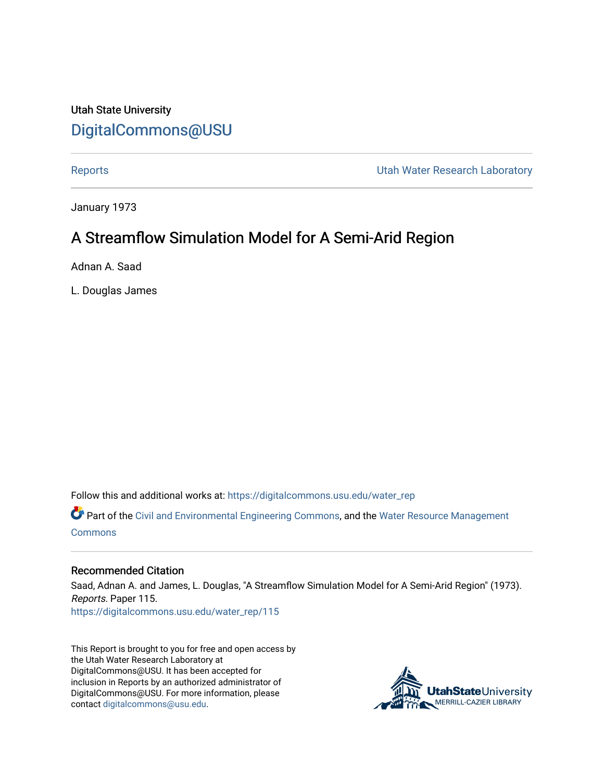# Utah State University [DigitalCommons@USU](https://digitalcommons.usu.edu/)

[Reports](https://digitalcommons.usu.edu/water_rep) **National Community Community** Channel Community Utah Water Research Laboratory

January 1973

# A Streamflow Simulation Model for A Semi-Arid Region

Adnan A. Saad

L. Douglas James

Follow this and additional works at: [https://digitalcommons.usu.edu/water\\_rep](https://digitalcommons.usu.edu/water_rep?utm_source=digitalcommons.usu.edu%2Fwater_rep%2F115&utm_medium=PDF&utm_campaign=PDFCoverPages) 

Part of the [Civil and Environmental Engineering Commons](http://network.bepress.com/hgg/discipline/251?utm_source=digitalcommons.usu.edu%2Fwater_rep%2F115&utm_medium=PDF&utm_campaign=PDFCoverPages), and the [Water Resource Management](http://network.bepress.com/hgg/discipline/1057?utm_source=digitalcommons.usu.edu%2Fwater_rep%2F115&utm_medium=PDF&utm_campaign=PDFCoverPages) [Commons](http://network.bepress.com/hgg/discipline/1057?utm_source=digitalcommons.usu.edu%2Fwater_rep%2F115&utm_medium=PDF&utm_campaign=PDFCoverPages)

### Recommended Citation

Saad, Adnan A. and James, L. Douglas, "A Streamflow Simulation Model for A Semi-Arid Region" (1973). Reports. Paper 115. [https://digitalcommons.usu.edu/water\\_rep/115](https://digitalcommons.usu.edu/water_rep/115?utm_source=digitalcommons.usu.edu%2Fwater_rep%2F115&utm_medium=PDF&utm_campaign=PDFCoverPages)

This Report is brought to you for free and open access by the Utah Water Research Laboratory at DigitalCommons@USU. It has been accepted for inclusion in Reports by an authorized administrator of DigitalCommons@USU. For more information, please contact [digitalcommons@usu.edu](mailto:digitalcommons@usu.edu).

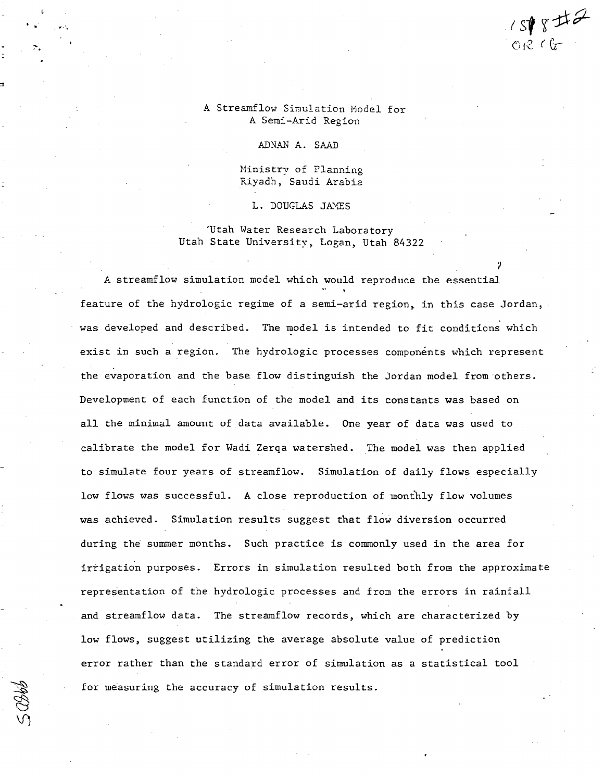### A Streamflow Simulation Model for A Semi-Arid Region

ADNAN A. SAAD

· ,. *11.·\* 

Ministry of Planning Riyadh, Saudi Arabia

L. DOUGLAS JAMES

'Utah Water Research Laboratory Utah State University, Logan, Utah 84322

?

 $cos$   $sin$   $sin$   $sin$ 

A streamflow simulation model which would reproduce the essential feature of the hydrologic regime of a semi-arid region, in this case Jordan, was developed and described. The model is intended to fit conditions which exist in such a region. The hydrologic processes components which represent the evaporation and the base flow distinguish the Jordan model from others. Development of each function of the model and its constants was based on all the minimal amount of data available. One year of data was used to calibrate the model for Wadi Zerqa watershed. The model was then applied to simulate four years of streamflow. Simulation of daily flows especially low flows was successful. A close reproduction of monthly flow volumes was achieved. Simulation results suggest that flow diversion occurred during the summer months. Such practice is commonly used in the area for irrigation purposes. Errors in simulation resulted both from the approximate representation of the hydrologic processes and from the errors in rainfall and streamflow data. The streamflow records, which are characterized by low flows, suggest utilizing the average absolute value of prediction error rather than the standard error of simulation as a statistical tool for measuring the accuracy of simulation results.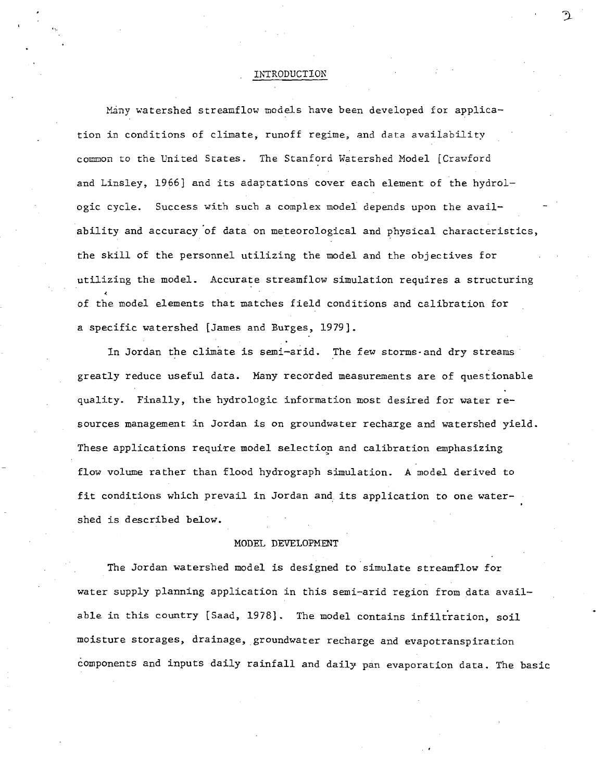#### INTRODUCTION

, ~,

Many watershed streamflow models have been developed for application in conditions of climate, runoff regime, and data availability common to the United States. The Stanford Watershed Model [Crawford and Linsley, 1966] and its adaptations cover each element of the hydrologic cycle. Success with such a complex model depends upon the availability and accuracy 'of data on meteorological and physical characteristics, the skill of the personnel utilizing the model and the objectives for utilizing the model. Accurate streamflow simulation requires a structuring of the model elements that matches field conditions and calibration for a specific watershed [James and Burges, 1979] •

In Jordan the climate is semi-arid. The few storms and dry streams greatly reduce useful data. Many recorded measurements are of questionable quality. Finally, the hydrologic information most desired for water resources management in Jordan is on groundwater recharge and watershed yield. These applications require model selection and calibration emphasizing flow volume rather than flood hydrograph simulation. A model derived to fit conditions which prevail in Jordan and its application to one watershed is described below.

#### MODEL DEVELOPMENT

The Jordan watershed model is designed to simulate streamflow for water supply planning application in this semi-arid region from data available in this country [Saad, 1978]. The model contains infiltration, soil moisture storages, drainage, groundwater recharge and evapotranspiration components and inputs daily rainfall and daily pan evaporation data. The basic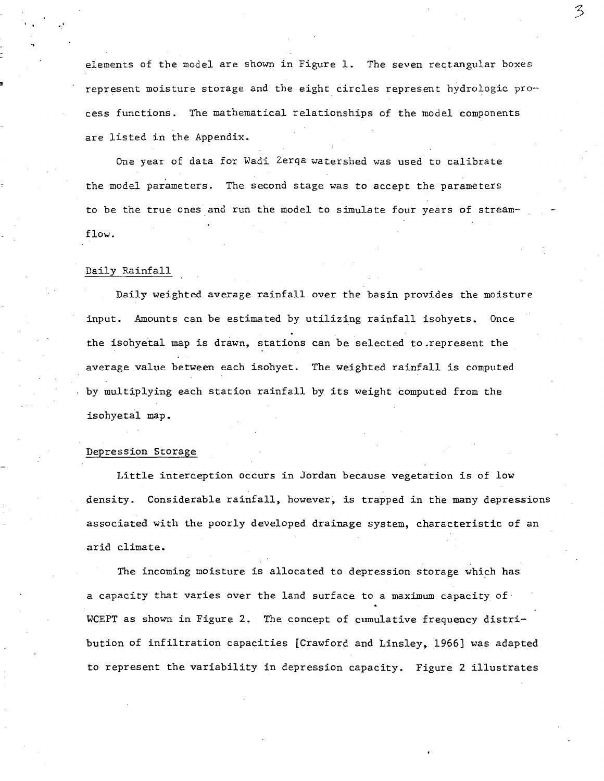elements of the model are shown in Figure 1. The seven rectangular boxes represent moisture storage and the eight circles represent hydrologic pro- cess functions. The mathematical relationships of the model components are listed in the Appendix.

One year of data for Wadi Zerqa watershed was used to calibrate the model parameters. The second stage was to accept the parameters to be the true ones and run the model to simulate four years of streamflow.

#### Daily Rainfall

, .

Daily weighted average rainfall over the basin provides the moisture input. Amounts can be estimated by utilizing rainfall isohyets. Once the isohyetal map is drawn, stations can be selected to represent the average value between each isohyet. The weighted rainfall is computed by multiplying each station rainfall by its weight computed from the isohyetal map.

#### Depression Storage

Little interception occurs in Jordan because vegetation is of low density. Considerable rainfall, however, is trapped in the many depressions associated with the poorly developed drainage system, characteristic of an arid climate.

The incoming moisture is allocated to depression storage which has a capacity that varies over the land surface to a maximum capacity of WCEPT as shown in Figure 2. The concept of cumulative frequency distribution of infiltration capacities [Crawford and Linsley, 1966] was adapted to represent the variability in depression capacity. Figure 2 illustrates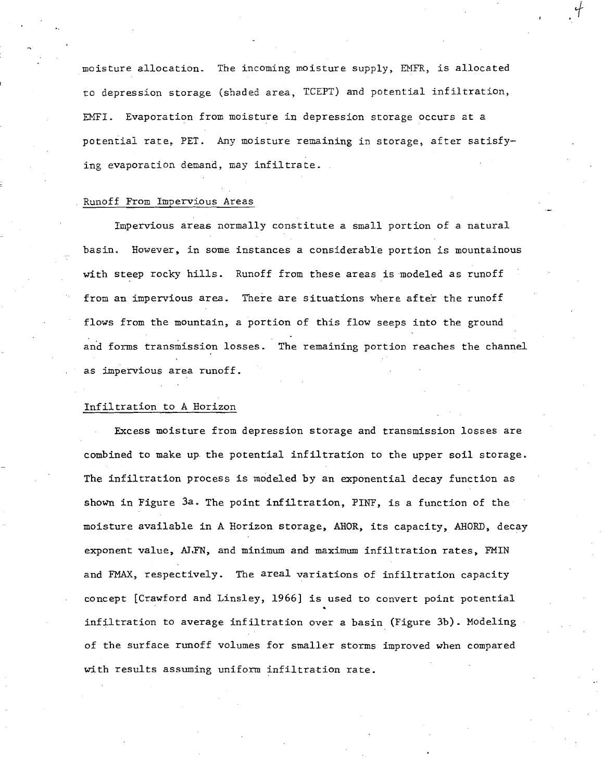moisture allocation. The incoming mOisture supply, EMFR, is allocated to depression storage (shaded area, TCIPT) and potential infiltration, EHFI. Evaporation from moisture in depression storage occurs at a potential rate, PET. Any moisture remaining in storage, after satisfying evaporation demand, may infiltrate.

+

#### Runoff From Impervious Areas

Impervious areas normally constitute a small portion of a natural basin. However. in some instances a considerable portion is mountainous with steep rocky hills. Runoff from these areas is modeled as runoff from an impervious area. There are situations where after the runoff flows from the mountain, a portion of this flow seeps into the ground and forms transmission losses. The remaining portion reaches the channel as impervious area runoff.

#### Infiltration to A Horizon

Excess moisture from depression storage and transmission losses are combined to make up the potential infiltration to the upper soil storage. The infiltration process is modeled by an exponential decay function as shown in Figure *3a.* The point infiltration, PINF, is a function of the moisture available in A Horizon storage, AHOR, its capacity, AHORD, decay exponent value, AJ,FN, and minimum and maximum infiltration rates, FMIN and FMAX, respectively. The areal variations of infiltration capacity concept [Crawford and Linsley, 1966] is used to convert point potential infiltration to average infiltration over a basin (Figure 3b). Modeling of the surface runoff volumes for smaller storms improved when compared with results assuming uniform infiltration rate.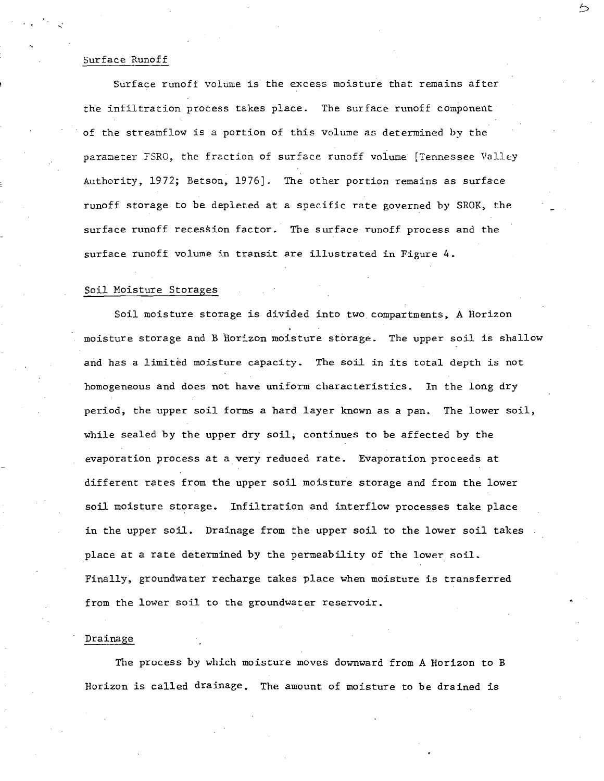#### Surface Runoff

, . . ... :

Surface runoff volume is the excess moisture that remains after the infiltration process takes place. The surface runoff component of the streamflow is a portion of this volume as determined by the parameter FSRO, the fraction of surface runoff volume [Tennessee Valley Authority, 1972; Betson, 1976]. The other portion remains as surface runoff storage to be depleted at a specific rate governed by SROK, the surface runoff recession factor. The surface runoff process and the surface runoff volume in transit are illustrated in Figure 4.

ろ

#### Soil Moisture Storages

Soil moisture storage is divided into two compartments, A Horizon moisture storage and B Horizon moisture storage. The upper soil is shallow and has a limited moisture capacity. The soil in its total depth is not homogeneous and does not have uniform characteristics. In the long dry period, the upper soil forms a hard layer known as a pan. The lower soil, while sealed by the upper dry soil; continues to be affected by the evaporation process at a very reduced rate. Evaporation proceeds at different rates from the upper soil moisture storage and from the lower soil moisture storage. Infiltration and interflow processes take place in the upper soil. Drainage from the upper soil to the lower soil takes place at a rate determined by the permeability of the lower soil. Finally, groundwater recharge takes place when moisture is transferred from the lower soil to the groundwater reservoir.

#### Drainage

The process by which moisture moves downward from A Horizon to B Horizon is called drainage. The amount of moisture to be drained is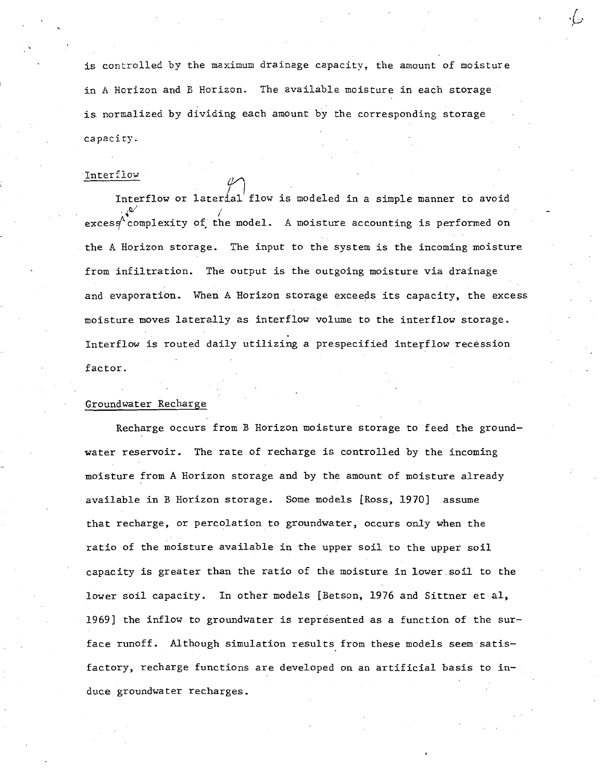is controlled by the maximum drainage capacity, the amount of moisture in A Horizon and B Horizon. The available moisture in each storage is. normalized by dividing each amount by the corresponding storage capacity.

#### Interflow

 $\overbrace{ }^{\texttt{110w}}$  Interflow or laterial flow is modeled in a simple manner to avoid  $\mathbf{v}^{\prime}$  $exces$ , complexity /' **of,· the model.** A moisture accounting is performed on the A Horizon storage. The input to the system is the incoming moisture from infiltration. The output is the outgoing moisture via drainage and evaporation. When A Horizon storage exceeds its capacity, the excess moisture moves laterally as interflow volume to the interflow storage. Interflow is routed daily utilizing a prespecified interflow recession factor.

#### Groundwater Recharge

Recharge occurs from B Horizon moisture storage to feed the groundwater reservoir. The rate of recharge is controlled by the incoming moisture from A Horizon storage and by the amount of moisture already available in B Horizon storage. Some models [Ross, 1970] assume that recharge, or percolation to groundwater, occurs only when the ratio of the moisture available in the upper soil to the upper soil capacity is greater than the ratio of the moisture in 10wer.soil to the lower soil capacity. In other models [Betson, 1976 and Sittner et al, 1969] the inflow to groundwater is represented as a function of the surface runoff. Although simulation results from these models seem satisfactory, recharge functions are developed on an artificial basis to induce groundwater recharges.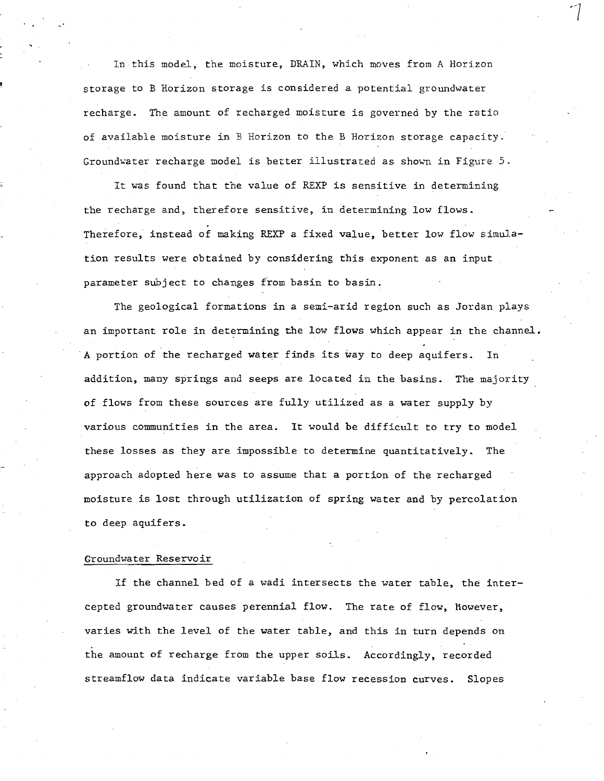In this model, the moisture, DRAIN, which moves from A Horizon storage to B Horizon storage is considered a potential groundwater recharge. The amount of recharged moisture is governed by the ratio of available moisture in B Horizon to the B Horizon storage capacity. Groundwater recharge model is better illustrated as shovm in Figure 5.

It was found that the value of REXP is sensitive in determining the recharge and, therefore sensitive, in determining low flows. Therefore, instead of making REXP a fixed value, better low flow simulation results were obtained by considering this exponent as an input parameter subject to changes from basin to basin.

The geological formations in a semi-arid region such as Jordan plays an important role in determining the low flows which appear in the channel. -A portion of the recharged water finds its way to deep aquifers. In addition, many springs and seeps are located in the basins. The majority of flows from these sources are fully utilized as a water supply by various communities in the area. **It** would be difficult to try to model these losses as they are impossible to determine quantitatively. The approach adopted here was to assume that a portion of the recharged moisture is lost through utilization of spring water and by percolation to deep aquifers.

#### Groundwater Reservoir

If the channel bed of a wadi intersects the water table, the intercepted groundwater causes perennial flow. The rate of flow, however, varies with the level of the water table, and this in turn depends on the amount of recharge from the upper soils. Accordingly, recorded streamflow data indicate variable base flow recession curves. Slopes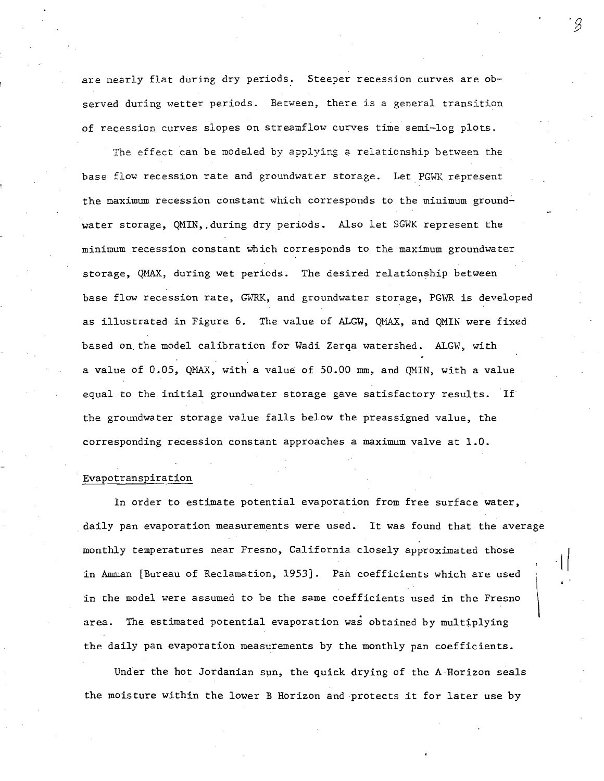are nearly flat during dry periods. Steeper recession curves are observed during wetter periods. Between, there is a general transition of recession curves slopes on streamflow curves time semi-log plots.

The effect can be modeled by applying a relationship between the base flow recession rate and groundwater storage. Let PGWK represent the maximum recession constant which corresponds to the minimum ground~ water storage, QMIN, during dry periods. Also let SGWK represent the minimum recession constant which corresponds to the maximum groundwater storage, QMAX, during wet periods. The desired relationship between base flow recession rate, GWRK, and groundwater storage, PGWR is developed as illustrated in Figure 6. The value of ALGW, QMAX, and QMIN were fixed based on. the model calibration for Wadi Zerqa watershed. ALGW, with a value of  $0.05$ , QMAX, with a value of  $50.00$  mm, and QMIN, with a value equal to the initial groundwater storage gave satisfactory results. If the groundwater storage value falls below the preassigned value, the corresponding recession constant approaches a maximum valve at 1.0.

#### Evapotranspiration

In order to estimate potential evaporation from free surface water, . daily pan evaporation measurements were used. It was found that the average monthly temperatures near Fresno, California closely approximated those in Amman [Bureau of Reclamation, 1953]. Pan coefficients which are used in the model were assumed to be the same coefficients used in the Fresno area. The estimated potential evaporation was obtained by multiplying the daily pan evaporation measurements by the monthly pan coefficients.  $\vert$ 

Under the hot Jordanian sun, the quick drying of the A·Horizon seals the moisture within the lower B Horizon and ·protects it for later use by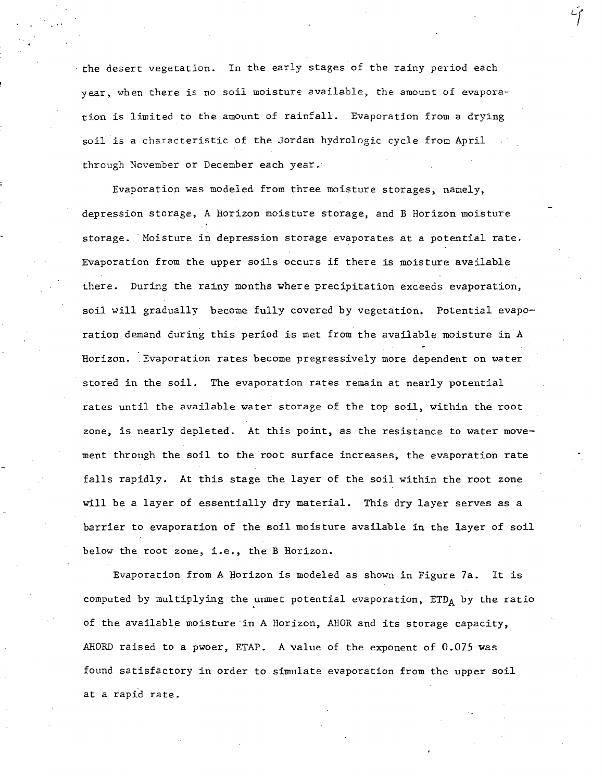the desert vegetation. In the early stages of the rainy period each year, when there is no soil moisture available, the amount of evaporation is limited to the amount of rainfall. Evaporation from a drying soil is a characteristic of the Jordan hydrologic cycle from April through November or December each year.

Evaporation was modeled from three moisture storages, namely, depression storage, A Horizon moisture storage, and B Horizon moisture storage. Moisture in depression storage evaporates at a potential rate. Evaporation from the upper soils occurs if there is moisture available there. During the rainy months where precipitation exceeds evaporation, soil will gradually become fully covered by vegetation. Potential evaporation demand during this period is met from the available moisture in A Horizon. Evaporation rates become pregressively more dependent on water stored in the soil. The evaporation rates remain at nearly potential rates until the available water storage of the top soil, within the root zone, is nearly depleted. At this point, as the resistance to water movement through the soil to the root surface increases, the evaporation rate falls rapidly. At this stage the layer of the soil within the root zone will be a layer of essentially dry material. This dry layer serves as a barrier to evaporation of the soil moisture available in the layer of soil below the root zone, i.e., the B Horizon.

Evaporation from A Horizon is modeled as shown in Figure 7a. It is computed by multiplying the unmet potential evaporation,  $ETD_A$  by the ratio of the available moisture in A Horizon, AHOR and its storage capacity, AHORD raised to a pwoer, ETAP. A value of the exponent of 0.075 was found satisfactory in order to. simulate evaporation from the upper soil at a rapid rate.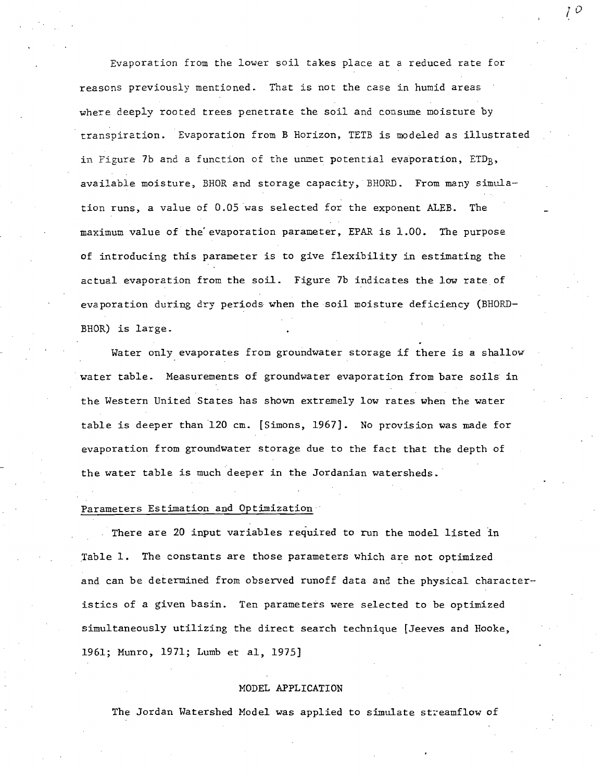Evaporation from the lower soil takes place at a reduced rate for reasons previously mentioned. That is not the case in humid areas where deeply rooted trees penetrate the soil and consume moisture by transpiration. Evaporation from B Horizon, TETB is modeled as illustrated in Figure 7b and a function of the unmet potential evaporation, ETDB, available moisture, BHOR and storage capacity, BHORD. From many simulation runs, a value of 0.05 was selected for the exponent ALEB. The maximum value of the' evaporation parameter, EPAR is 1.00. The purpose of introducing this parameter is to give flexibility in estimating the actual evaporation from the soil. Figure 7b indicates the low rate of evaporation during dry periods when the soil moisture deficiency (BHORD-BHOR) is large.

Water only evaporates from groundwater storage if there is a shallow water table. Measurements of groundwater evaporation from bare soils in the Western United States has shown extremely low rates when the water table is deeper than 120 cm. [Simons, 1967]. No provision was made for evaporation from groundwater storage due to the fact that the depth of the water table is much deeper in the Jordanian watersheds.

#### Parameters Estimation and Optimization

There are 20 input variables required to run the model listed in Table 1. The constants are those parameters which are not optimized and can be determined from observed runoff data and the physical characteristics of a given basin. Ten parameters were selected to be optimized simultaneously utilizing the direct search technique [Jeeves and Hooke, 1961; Munro, 1971; Lumb et aI, 1975]

#### MODEL APPLICATION

The Jordan Watershed Model was applied to simulate streamflow of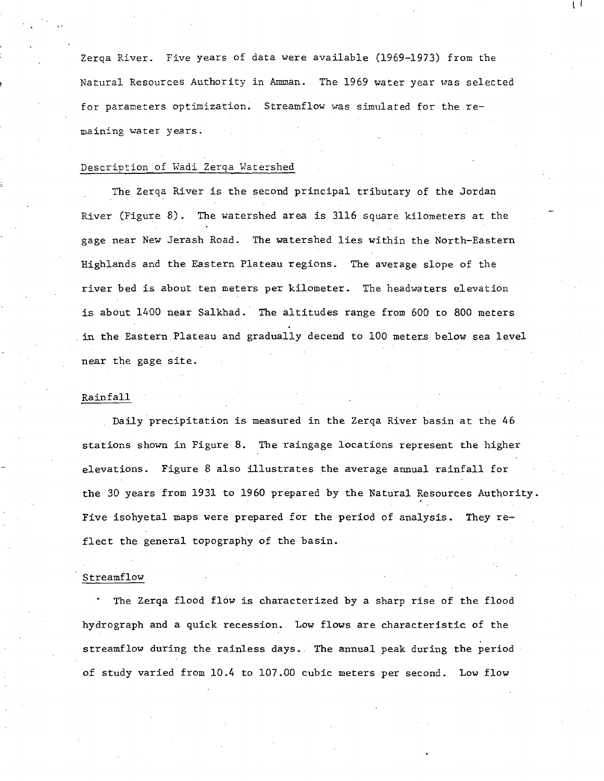Zerqa River. Five years of data were available (1969-1973) from the Natural Resources Authority in Amman. The 1969 water year was selected for parameters optimization. Streamflow was simulated for the remaining water years.

l I

#### Description of Wadi Zerqa Watershed

The Zerqa River is the second principal tributary of the Jordan River (Figure 8). The watershed area is 3116 square kilometers at the gage near New Jerash Road. The watershed lies within the North-Eastern Highlands and the Eastern Plateau regions. The average slope of the river bed is about ten meters per kilometer. The headwaters elevation is about 1400 near Salkhad. The altitudes range from 600 to BOO meters . in the Eastern.Plateau and gradually decend to 100 meters below sea level near the gage site.

#### Rainfall

Daily precipitation is measured in the Zerqa River basin at the 46 stations shown in Figure B. The raingage locations represent the higher elevations. Figure B also illustrates the average annual rainfall for the 30 years from 1931 to 1960 prepared by the Natural Resources Authority. Five isohyetal maps were prepared for the period of analysis. They reflect the general topography of the basin.

#### Streamflow

The Zerqa flood flow is characterized by a sharp rise of the flood hydrograph and a quick recession. Low flows are characteristic of the streamflow during the rainless days. The annual peak during the period of study varied from 10.4 to 107.00 cubic meters per second. Low flow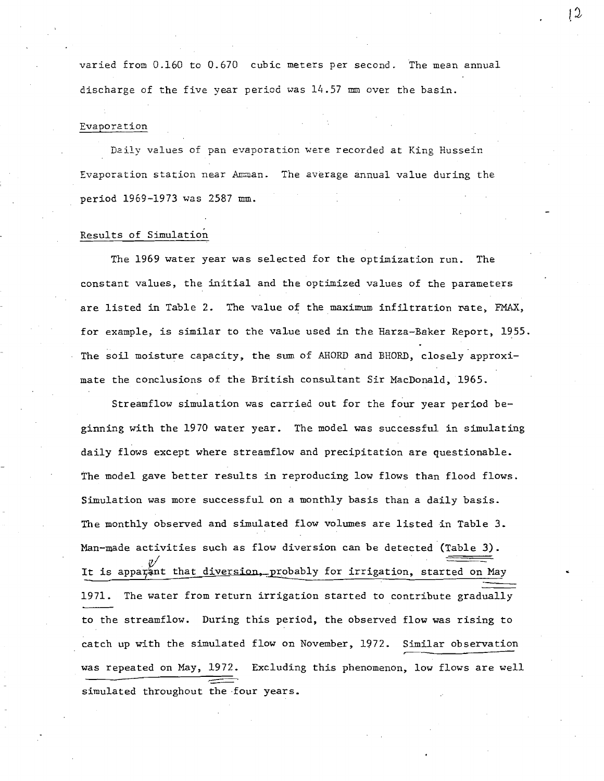varied from 0.160 to 0.670 cubic meters per second. The mean annual discharge of the five year period was  $14.57$  mm over the basin.

#### Evaporation

Daily values of pan evaporation were recorded at King Hussein Evaporation station near Amman. The average annual value during the period 1969-1973 was 2587 mm.

#### Results of Simulation

The 1969 water year was selected for the optimization run. The constant values, the initial and the optimized values of the parameters are listed in Table 2. The value of the maximum infjltration rate, FMAX, for example, is similar to the value used in the Harza-Baker Report, 1955. The soil moisture capacity, the sum of AHORD and BHORD, closely approximate the conclusions of the British consultant Sir MacDonald, 1965.

Streamflow simulation was carried out for the four year period beginning with the 1970 water year. The model was successful in simulating daily flows except where streamflow and precipitation are questionable. The model gave better results in reproducing low flows than flood flows. Simulation was more successful on a monthly basis than a daily basis. The monthly observed and simulated flow volumes are listed in Table 3. Man-made activities such as flow diversion can be detected (Table 3). It is apparant that diversion, probably for irrigation, started on May 1971. The water from return irrigation started to contribute gradually to the streamflow. During this period, the observed flow was rising to catch up with the simulated flow on November, 1972. Similar observation was repeated on May, 1972. Excluding this phenomenon, low flows are well simulated throughout the four years.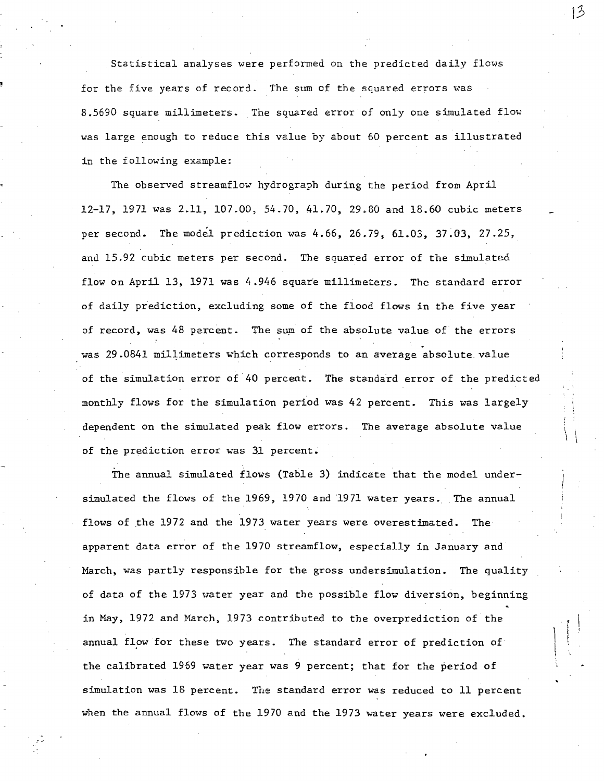Statistical analyses were performed on the predicted daily flows for the five years of record. The sum of the squared errors was 8.5690 square millimeters. The squared error of only one simulated flow was large enough to reduce this value by about 60 percent as illustrated in the following example:

The observed streamflow hydrograph during the period from April 12-17, 1971 was 2.11, 107.00, 54.70, 41.70, 29.80 and 18.60 cubic meters per second. The model prediction was  $4.66$ ,  $26.79$ ,  $61.03$ ,  $37.03$ ,  $27.25$ , and 15.92 cubic meters per second. The squared error of the simulated, flow on April 13, 1971 was 4.946 square millimeters. The standard error of daily prediction, excluding some of the flood flows in the five year of record, was 48 percent. The sum of the absolute value of the errors was 29.0841 millimeters which corresponds to an average absolute value of the simulation error of'40 percent. The standard error of the predicted monthly flows for the simulation period was 42 percent. This was largely dependent on the simulated peak flow errors. The average absolute value of the prediction error was 31 percent.

The annual simulated flows (Table 3) indicate that the model undersimulated the flows of the 1969, 1970 and '1971 water years. The annual flows of the 1972 and the 1973 water years were overestimated. The apparent data error of the 1970 streamflow, especially in January and March, was partly responsible for the gross undersimulation. The quality of data of the 1973 water year and the possible flow diversion, beginning in May, 1972 and March, 1973 contributed to the overprediction of the annual flow 'for these two years. The standard error of prediction of the calibrated 1969 water year was 9 percent; that for the period of simulation was 18 percent. The standard error was reduced to 11 percent when the annual flows of the 1970 and the 1973 water years were excluded.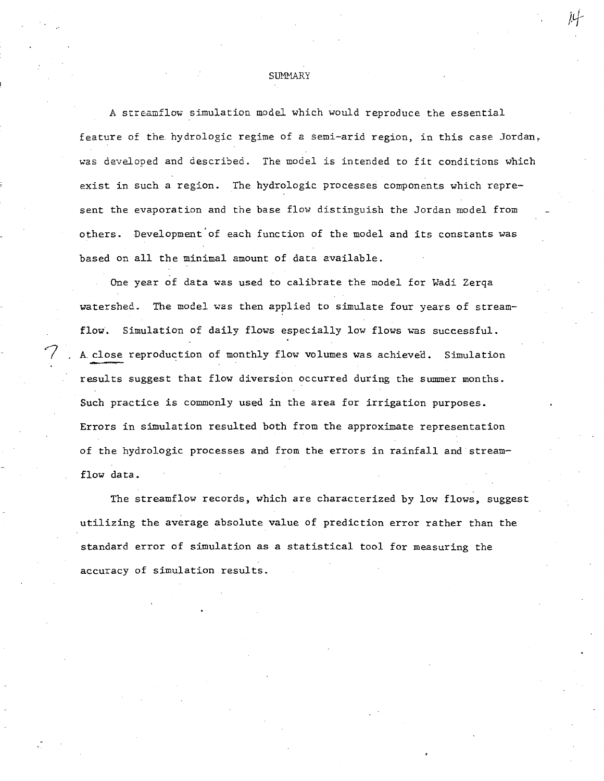#### **SUMMARY**

A streamflow simulation model which would reproduce the essential feature of the hydrologic regime of a semi-arid region, in this case Jordan. was developed and described. The model is intended to fit conditions which exist in such a region. The hydrologic processes components which represent the evaporation and the base flow distinguish the Jordan model from others. Development'of each function of the model and its constants was based on all the minimal amount of data available.

One year of data was used to calibrate the model for Wadi Zerqa watershed. The model was then applied to simulate four years of streamflow. Simulation of daily flows especially low flows was successful. A close reproduction of monthly flow volumes was achieved. Simulation results suggest that flow diversion occurred during the summer months. Such practice is commonly used in the area for irrigation purposes. Errors in simulation resulted both from the approximate representation of the hydrologic processes and from the errors in rainfall and"streamflow data.

The streamflow records, which are characterized by low flows, suggest utilizing the average absolute value of prediction error rather than the standard error of simulation as a statistical tool for measuring the accuracy of simulation results.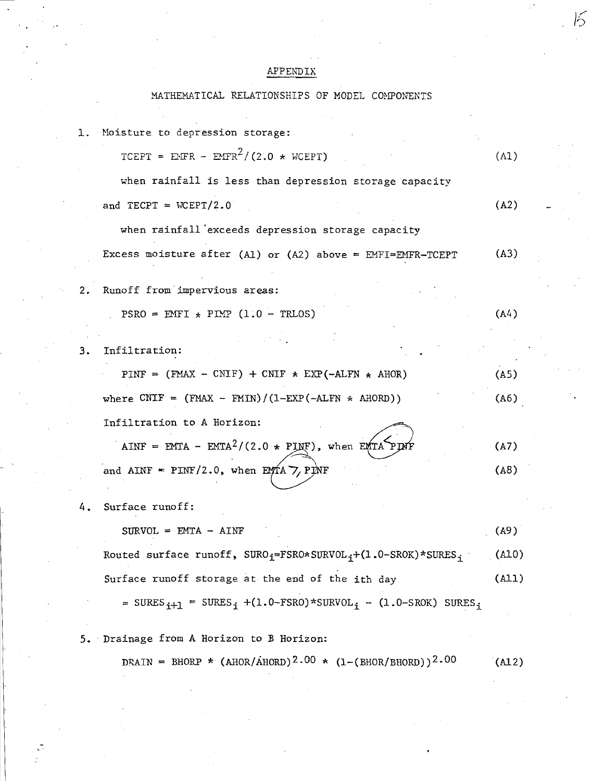### APPENDIX

## MATHEMATICAL RELATIONSHIPS OF MODEL COMPONENTS

| 1. | Moisture to depression storage:                                                                             |       |
|----|-------------------------------------------------------------------------------------------------------------|-------|
|    | TCEPT = EFR - EMFR <sup>2</sup> /(2.0 * WCEPT)                                                              | (A1)  |
|    | when rainfall is less than depression storage capacity                                                      |       |
|    | and TECPT = $WCEPT/2.0$                                                                                     | (A2)  |
|    | when rainfall exceeds depression storage capacity                                                           |       |
|    | Excess moisture after (A1) or (A2) above = EMFI=EMFR-TCEPT                                                  | (A3)  |
| 2. | Runoff from impervious areas:                                                                               |       |
|    | $PSRO = EMT + PIMP (1.0 - TRIOS)$                                                                           | (A4)  |
|    |                                                                                                             |       |
| з. | Infiltration:                                                                                               |       |
|    | PINF = $(FMAX - CMIF) + CNIF * EXP(-ALFN * AHOR)$                                                           | (A5)  |
|    | where $CNTF = (FMAX - FMIN)/(1-EXP(-ALFN * AHORD))$                                                         | (A6)  |
|    | Infiltration to A Horizon:                                                                                  |       |
|    | AINF = EMTA - EMTA <sup>2</sup> /(2.0 * PINF), when EMTA PIX                                                | (A7)  |
|    | and AINF = $PINF/2.0$ , when $EMTA \nabla$ , $PINF$                                                         | (AB)  |
| 4. | Surface runoff:                                                                                             |       |
|    | $SURVOL = EMTA - AINT$                                                                                      | (A9)  |
|    | Routed surface runoff, SURO <sub>i</sub> =FSRO*SURVOL <sub>i</sub> +(1.0-SROK)*SURES <sub>i</sub>           | (A10) |
|    | Surface runoff storage at the end of the ith day                                                            | (A11) |
|    | = SURES <sub>i+1</sub> = SURES <sub>i</sub> +(1.0-FSRO)*SURVOL <sub>i</sub> - (1.0-SROK) SURES <sub>i</sub> |       |
| 5. | Drainage from A Horizon to B Horizon:                                                                       |       |
|    |                                                                                                             |       |

DRAIN = BHORP \*  $(AMOR/AHORD)^2.00$  \*  $(1-(BHOR/BHORD))2.00$  $(A12)$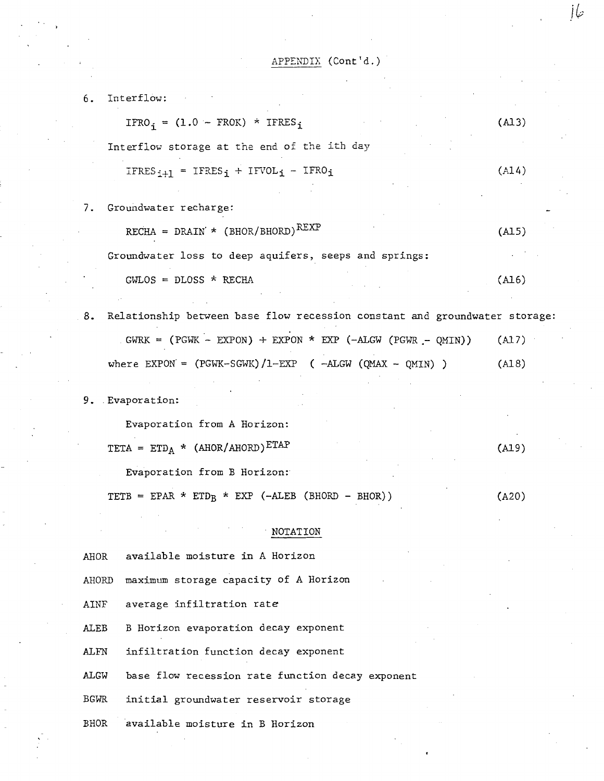6. Interflow:  $IFRO_i = (1.0 - FROK) * IFERES_i$ Interflow storage at the end of the ith day  $IFRES_{i+1} = IFRES_i + IFVOL_i - IFRO_i$ 7. Groundwater recharge:  $RECHA = DRAIN' * (BHOR/BHORD)$ <sup>REXP</sup> Groundwater loss to deep aquifers, seeps and springs:  $GWLOS = DLOSS * RECHA$ (Al3) (A14) (AlS) (Al6) 8. Relationship between base flow recession constant and groundwater storage:

| GWRK = $(PGWK - EXPON)$ + EXPON * EXP $(-ALGW (PGWR - OMIN))$ | (A17) |
|---------------------------------------------------------------|-------|
| where EXPON = $(PGWK-SGWK)/1-EXP$ ( -ALGW (OMAX - OMIN) )     | (A18) |

9. . Evaporation:

Evaporation from A Horizon:

TETA =  $ETD_A$  \* (AHOR/AHORD) $ETAP$ 

Evaporation from B Horizon:

TETB = EPAR \* ETD<sub>B</sub> \* EXP (-ALEB (BHORD - BHOR)) (A20)

#### . NOTATION

AHOR available moisture in A Horizon

AHORD maximum storage capacity of A Horizon

AINF average infiltration rate

ALEB B Horizon evaporation decay exponent

ALFN infiltration function decay exponent

ALGW base flow recession rate function decay exponent

BGWR initial groundwater reservoir storage

BHOR available moisture in B Horizon

*i&* 

(Al9)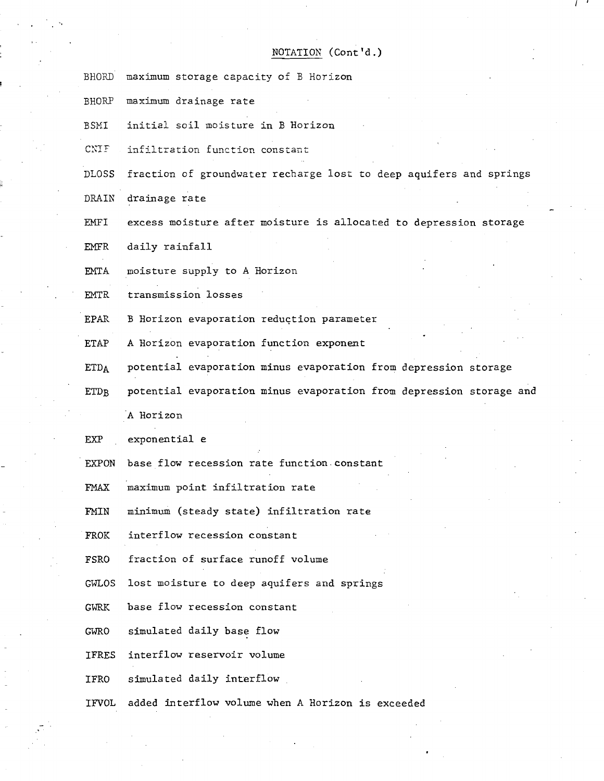#### NOTATION (Cont'd.)

/ '

- BHORD maximum storage capacity of B Horizon
- BHORP maximum drainage rate
- BSHI initial soil moisture in B Horizon
- $C\text{NIF}:$  infiltration function constant

DLOSS fraction of groundwater recharge lost to deep aquifers and springs

DRAIN drainage rate

"

- EMFI excess moisture after moisture is allocated to depression storage
- EMFR daily rainfall
- EMTA moisture supply to A Horizon
- EMTR transmission losses
- EPAR B Horizon evaporation reduction parameter
- ETAP A Horizon evaporation function exponent
- ETDA potential evaporation minus evaporation from depression storage
- ETDB potential evaporation minus evaporation from depression storage and 'A Horizon

EXP exponential e

- EXPON base flow recession rate function, constant
- FMAX maximum point infiltration rate
- FMIN minimum (steady state) infiltration rate
- FROK interflow recession constant
- FSRO fraction of surface runoff volume
- GWLOS lost moisture to deep aquifers and springs
- GWRK base flow recession constant
- GWRO simulated daily base flow
- IFRES interflow reservoir volume
- IFRO simulated daily interflow
- IFVOL added interflow volume when A Horizon is exceeded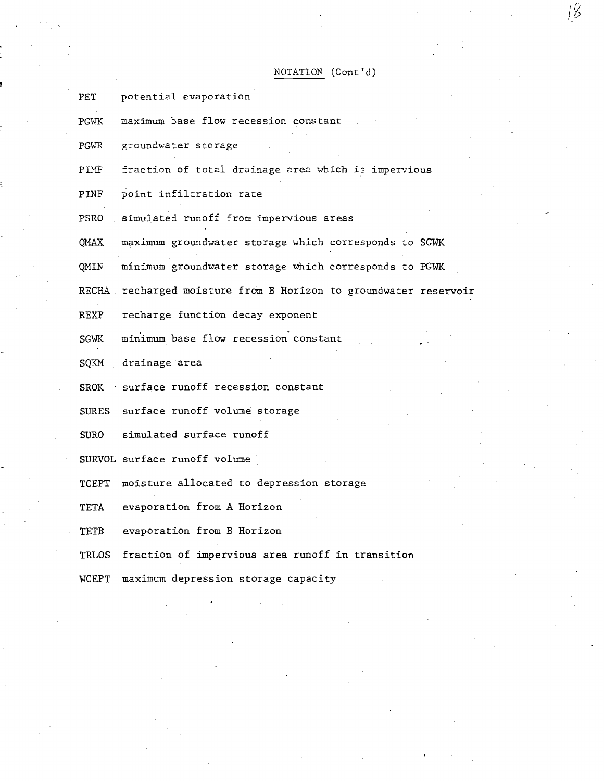NOTATION (Cont'd)

- PET potential evaporation
- PGWK maximum base flow recession constant
- PGWR groundwater storage

PIMP fraction of total drainage area which is impervious

- PINF point infiltration rate
- PSRO simulated runoff from impervious areas

QMAX maximum groundwater storage which corresponds to SGWK

QMIN minimum groundwater storage which corresponds to PGWK

RECHA recharged moisture from B Horizon to groundwater reservoir

REXP recharge function decay exponent

- SGWK minimum base flow recession constant
- SQKM drainage area
- $SROK$  · surface runoff recession constant
- SURES surface runoff volume storage

SURO simulated surface runoff

SURVOL surface runoff volume

TCEPT moisture allocated to depression storage

TETA evaporation from A Horizon

TETB evaporation from B Horizon

TRLOS fraction of impervious area runoff in transition

WCEPT maximum depression storage capacity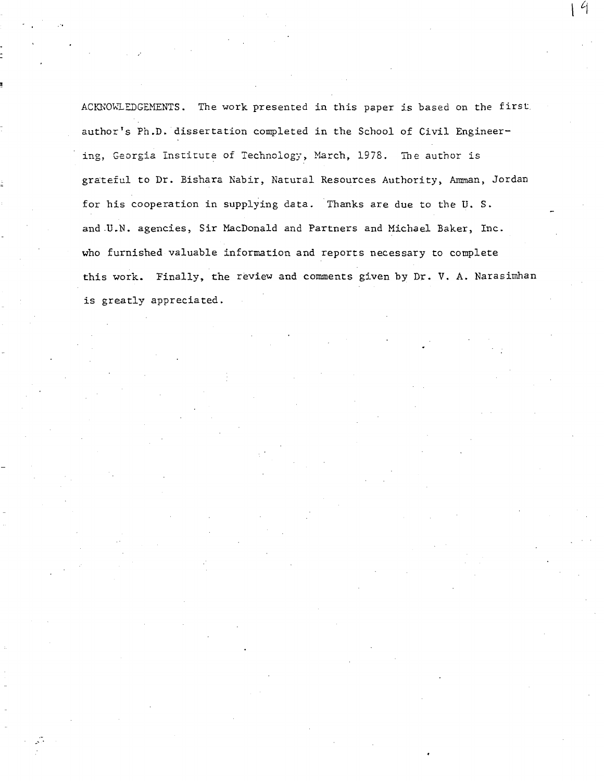ACKNOWLEDGEMENTS. The work presented in this paper is based on the first. author's Ph.D. dissertation completed in the School of Civil Engineering, Georgia Institute of Technology, March, 1978. The author is grateful to Dr. Bishara Nabir, Natural Resources Authority, Amman, Jordan for his cooperation in supplying data. Thanks are due to the U. S. and .U.N. agencies, Sir MacDonald and Partners and Michael Baker, Inc. who furnished valuable information and reports necessary to complete this work. Finally, the review and comments given by Dr. V. A. Narasimhan is greatly appreciated .

 $\mathcal{L}$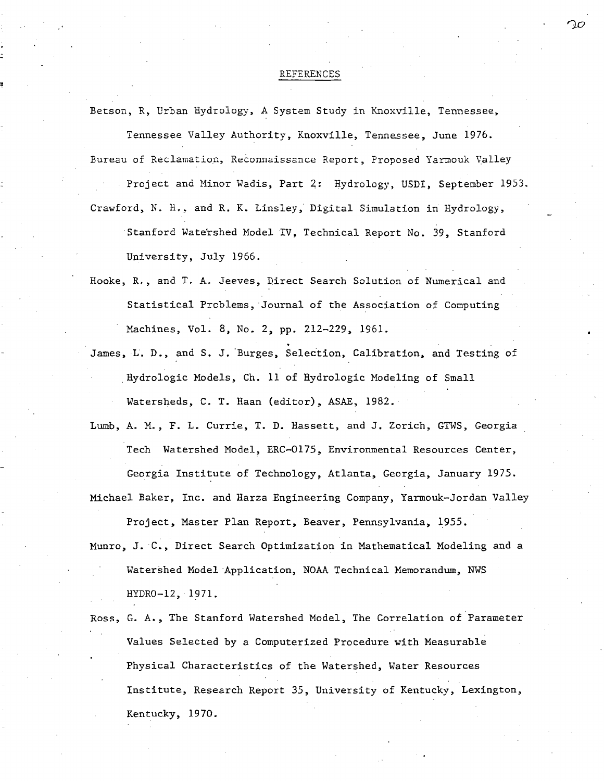#### REFERENCES

Betson, R, Urban Hydrology, A System Study in Knoxville, Tennessee,

Tennessee Valley Authority, Knoxville, Tennessee, June 1976. Bureau of Reclamation, Reconnaissance Report, Proposed Yarmouk Valley

Project and Hinor Wadis, Part 2: Hydrology, USDI, September 1953.

- Crawford, N. H., and R. K. Linsley, Digital Simulation in Hydrology, . Stanford Wate'rshed Model IV, Technical Report No. 39, Stanford University, July 1966.
- Hooke, R., and T. A. Jeeves, Direct Search Solution of Numerical and Statistical Problems, Journal of the Association of Computing Machines, Vol. 8, No. 2, pp. 212-229, 1961.
- James, L. D., and S. J. Burges, Selection, Calibration, and Testing of . Hydrologic Models, Ch. 11 of Hydrologic Modeling of Small Watersheds, C. T. Haan (editor), ASAE, 1982.
- Lumb, A. M., F. L. Currie, T. D. Hassett, and J. Zorich, GTWS, Georgia Tech Watershed Model, ERC-0175, Environmental Resources Center, Georgia Institute of Technology, Atlanta, Georgia, January 1975.

Michael Baker, Inc. and Harza Engineering Company, Yarmouk-Jordan Valley

Project, Master Plan Report, Beaver, Pennsylvania, 1955.

Munro, J.C., Direct Search Optimization in Mathematical Modeling and a Watershed Model·Application, NOAA Technical Memorandum, NWS HYDRO-12, 1971.

Ross, G. *A.,* The Stanford Watershed Model, The Correlation of Parameter Values Selected by a Computerized Procedure with Measurable Physical Characteristics of the Watershed, Water Resources Institute, Research Report 35, University of Kentucky, Lexington, Kentucky, 1970.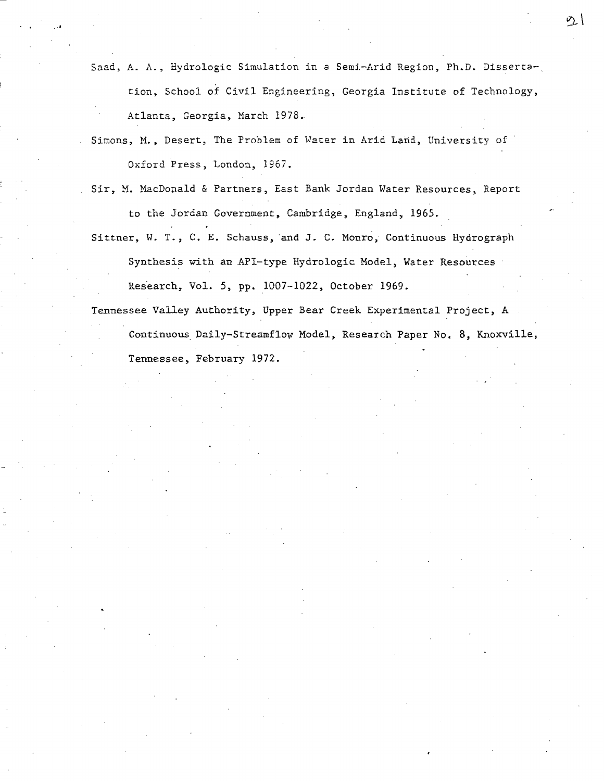Saad, A. A., Hydrologic Simulation in a Semi-Arid Region, Ph.D. Dissertation, School of Civil Engineering, Georgia Institute of Technology, Atlanta, Georgia, March 1978.

Simons, M., Desert, The Problem of Water in Arid Land, University of Oxford Press, London, 1967.

Sir, M. MacDonald & Partners, East Bank Jordan Water Resources, Report to the Jordan Government, Cambridge, England, 1965.

Sittner, W. T., C. E. Schauss, and J. C. Monro, Continuous Hydrograph Synthesis with an API-type Hydrologic Model, Water Resources

Research, Vol. 5, pp. 1007-1022, October 1969.

Tennessee Valley Authority, Upper Bear Creek Experimental Project, A Continuous Daily-Streamflow Model, Research Paper No. 8, Knoxville, Tennessee, February 1972.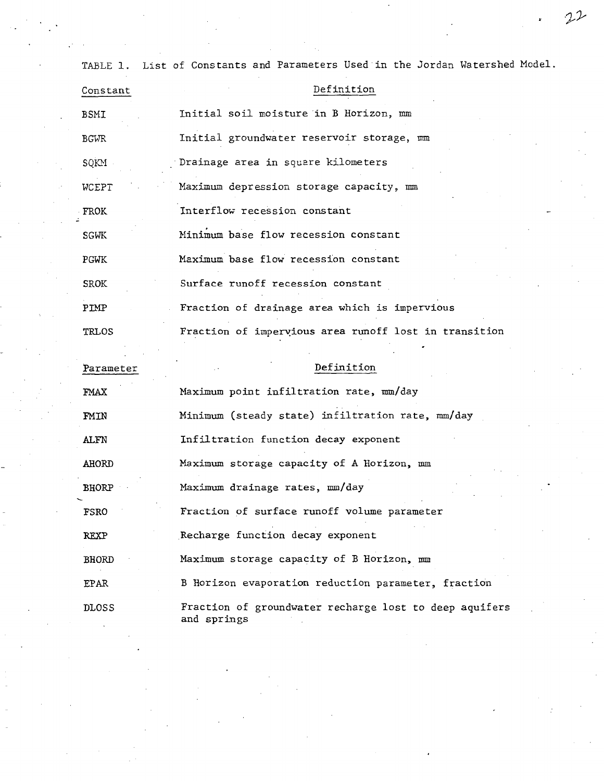TABLE 1. List of Constants and Parameters Used"in the Jordan Watershed Model.

| Constant     | Definition                                            |
|--------------|-------------------------------------------------------|
| BSMI         | Initial soil moisture in B Horizon, mm                |
| <b>BGWR</b>  | Initial groundwater reservoir storage, mm             |
| SQKM         | Drainage area in square kilometers                    |
| <b>WCEPT</b> | Maximum depression storage capacity, mm               |
| FROK         | Interflow recession constant                          |
| <b>SGWK</b>  | Minimum base flow recession constant                  |
| PGWK         | Maximum base flow recession constant                  |
| <b>SROK</b>  | Surface runoff recession constant                     |
| PTMP         | Fraction of drainage area which is impervious         |
| <b>TRLOS</b> | Fraction of impervious area runoff lost in transition |
|              |                                                       |
| Parameter    | Definition                                            |
|              | $\sim$ $\sim$ $\sim$                                  |

| FMAX         | Maximum point infiltration rate, mm/day                               |
|--------------|-----------------------------------------------------------------------|
| FMIN         | Minimum (steady state) infiltration rate, mm/day                      |
| ALFN         | Infiltration function decay exponent                                  |
| AHORD        | Maximum storage capacity of A Horizon, mm                             |
| <b>BHORP</b> | Maximum drainage rates, mm/day                                        |
| FSRO         | Fraction of surface runoff volume parameter                           |
| <b>REXP</b>  | Recharge function decay exponent                                      |
| <b>BHORD</b> | Maximum storage capacity of B Horizon, mm                             |
| <b>EPAR</b>  | B Horizon evaporation reduction parameter, fraction                   |
| <b>DLOSS</b> | Fraction of groundwater recharge lost to deep aquifers<br>and springs |

 $22$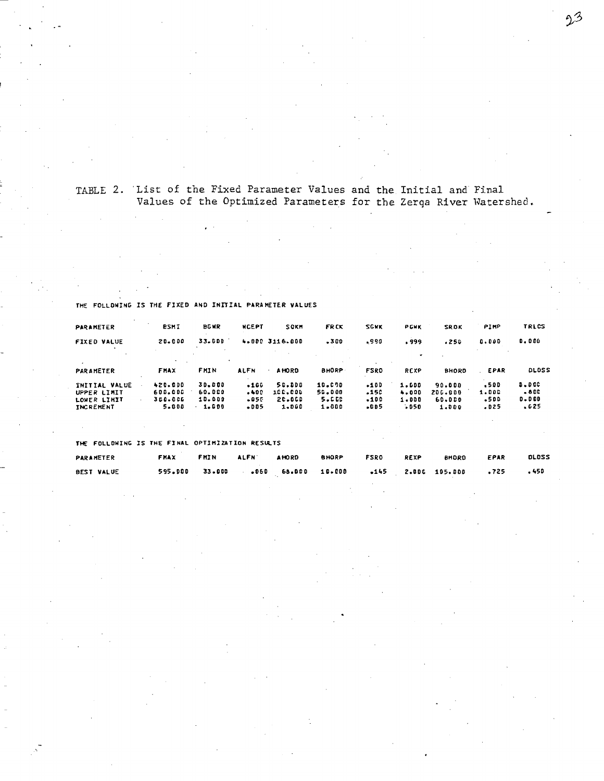### TABLE 2. List of the Fixed Parameter Values and the Initial and Final Values of the Optimized Parameters for the Zerqa River Watershed.

#### TRLCS PARAMETER **BSMI BGWR NCEPT FRCK** SGKK PIMP SOKH PGWK SROK  $0.000$ **FIXED VALUE** 20.000 33.000 4.000 3116.000 .300 ,990 .999  $.250$  $0.000$  $\cdot$ PARAMETER FHAX FMIN **ALFN A HORD BHORP FSRO** REXP **BHORD** . EPAR DLDSS  $\ddot{\phantom{a}}$  $\begin{array}{c} 30 * 0 00 \\ 60 * 000 \\ 10 * 000 \end{array}$  $10.090$ <br>50.000<br>5.000 INITIAL VALUE<br>UPPER LIMIT<br>LOWER LIMIT  $420 - 000$  $.166$  $50.000$  $-100$ 1.500 90.000  $.500$  $0.000\,$ 600.000<br>360.006  $.400$ <br> $.050$ 100.000  $.150$ <br> $.100$  $200.000$ <br>60.000  $-800$  $4.000$ <br> $1.000$ 1.000  $-500$  $0 - 000$ **INCREMENT** 5.000 1.000  $.005$ 1.000 1.000  $.005$  $050$ 1.000  $.025$  $.625$

THE FOLLOWING IS THE FIXED AND INITIAL PARAMETER VALUES

THE FOLLOWING IS THE FINAL OPTIMIZATION RESULTS

| PARAMETER         | FMAX           | FMIN | <b>ALFN</b> | <b>AHORD</b> | <b>BHORP</b> | FSRO | <b>REXP</b> | <b>BHDRO</b>                                 | EPAR | <b>DLDSS</b> |
|-------------------|----------------|------|-------------|--------------|--------------|------|-------------|----------------------------------------------|------|--------------|
| <b>BEST VALUE</b> | 595.000 33.000 |      |             |              |              |      |             | 050 68.000 10.000 145 2.000 105.000 1725 175 |      |              |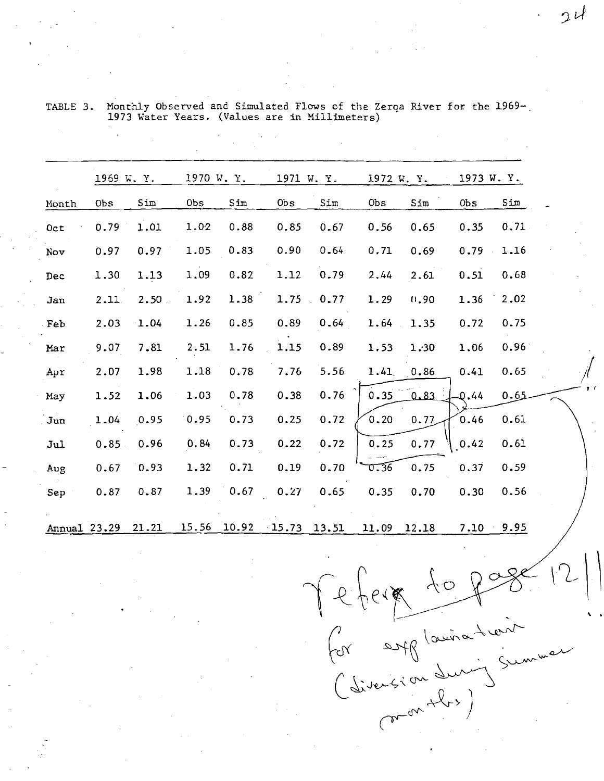|              | 1969 W.Y.  |       |       | 1970 W.Y. |        | 1971 W. Y. |       | 1972 W. Y. |        | 1973 W.Y. |  |
|--------------|------------|-------|-------|-----------|--------|------------|-------|------------|--------|-----------|--|
| Month        | <b>Obs</b> | Sim   | 0bs   | Sim       | $0b$ s | Sim        | Obs   | Sim        | $0b$ s | Sim       |  |
| Oct          | 0.79       | 1.01  | 1.02  | 0.88      | 0.85   | 0.67       | 0.56  | 0.65       | 0.35   | 0.71      |  |
| Nov          | 0.97       | 0.97  | 1.05  | 0.83      | 0.90   | 0.64       | 0.71  | 0.69       | 0.79   | 1.16      |  |
| Dec          | 1.30       | 1.13  | 1.09  | 0.82      | 1.12   | 0.79       | 2.44  | 2.61       | 0.51   | 0.68      |  |
| Jan          | 2.11       | 2.50  | 1.92  | 1.38      | 1.75   | 0.77       | 1.29  | 0.90       | 1.36   | 2.02      |  |
| Feb          | 2.03       | 1.04  | 1.26  | 0.85      | 0.89   | 0.64       | 1.64  | 1.35       | 0.72   | 0.75      |  |
| Mar          | 9.07       | 7.81  | 2.51  | 1.76      | 1.15   | 0.89       | 1.53  | 1.30       | 1.06   | 0.96      |  |
| Apr          | 2.07       | 1.98  | 1.18  | 0.78      | 7.76   | 5.56       | 1.41  | 0.86       | 0.41   | 0.65      |  |
| May          | 1.52       | 1.06  | 1.03  | 0.78      | 0.38   | 0.76       | 0.35  | 0.83       | 0.44   | 0.65      |  |
| Jun          | 1.04       | 0.95  | 0.95  | 0.73      | 0.25   | 0.72       | 0.20  | 0.77       | 0.46   | 0.61      |  |
| Jul          | 0.85       | 0.96  | 0.84  | 0.73      | 0.22   | 0.72       | 0.25  | 0.77       | 0.42   | 0.61      |  |
| Aug          | 0.67       | 0.93  | 1.32  | 0.71      | 0.19   | 0.70       | 0.36  | 0.75       | 0.37   | 0.59      |  |
| Sep          | 0.87       | 0.87  | 1.39  | 0.67      | 0.27   | 0.65       | 0.35  | 0.70       | 0.30   | 0.56      |  |
| Annual 23.29 |            | 21.21 | 15.56 | 10.92     | 15.73  | 13.51      | 11.09 | 12.18      | 7.10   | 9.95      |  |

TABLE 3. Monthly Observed and Simulated Flows of the Zerqa River for the 1969-1973 Water Years. (Values are in Millimeters)

Tefera to page<br>for englaination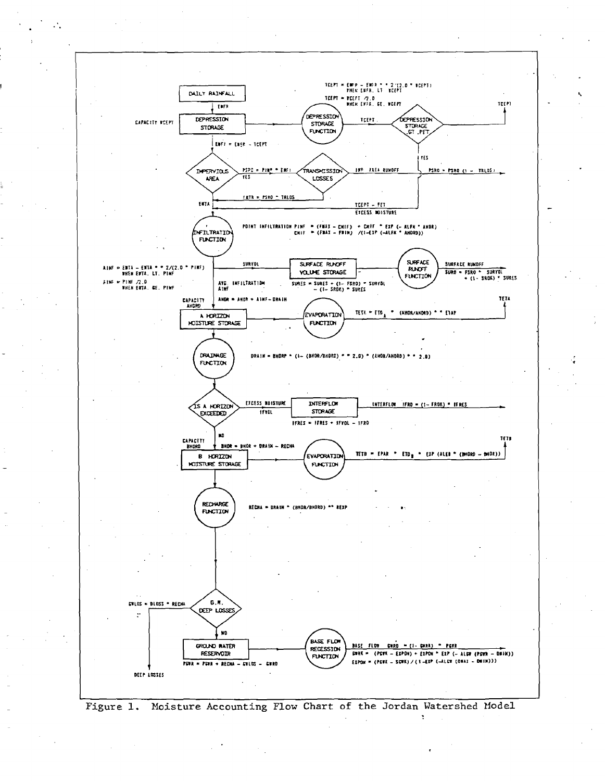

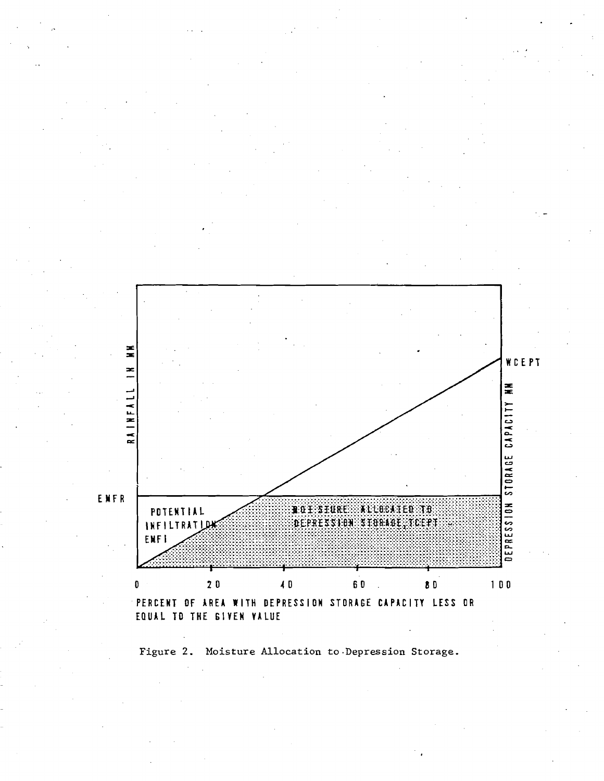

Figure 2. Moisture Allocation to Depression Storage.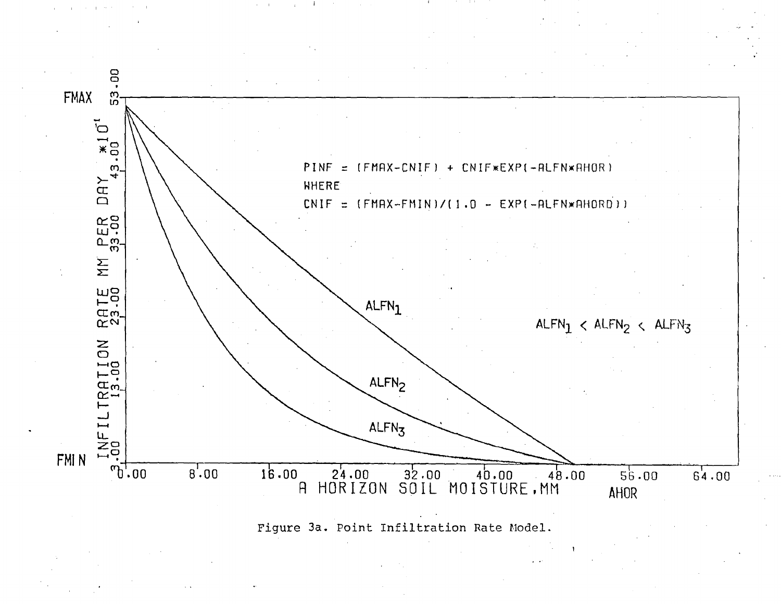

Figure 3a. Point Infiltration Rate Model.

 $\alpha = 1$ 

 $\pm$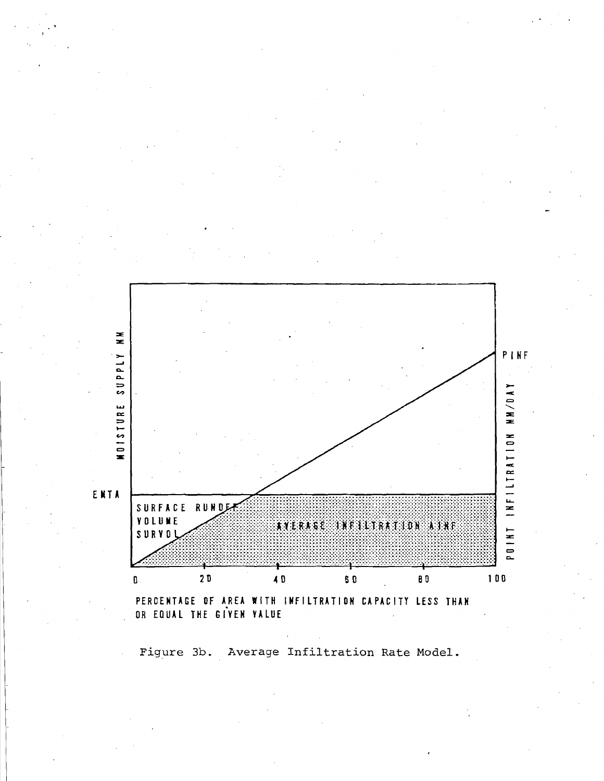

OR EQUAL THE GIVEN VALUE

Figure 3b. Average Infiltration Rate Model.

PINF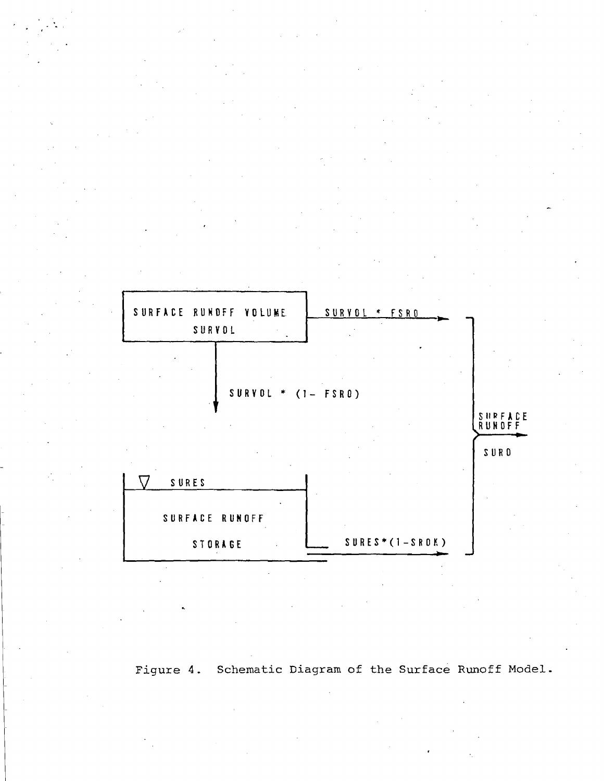

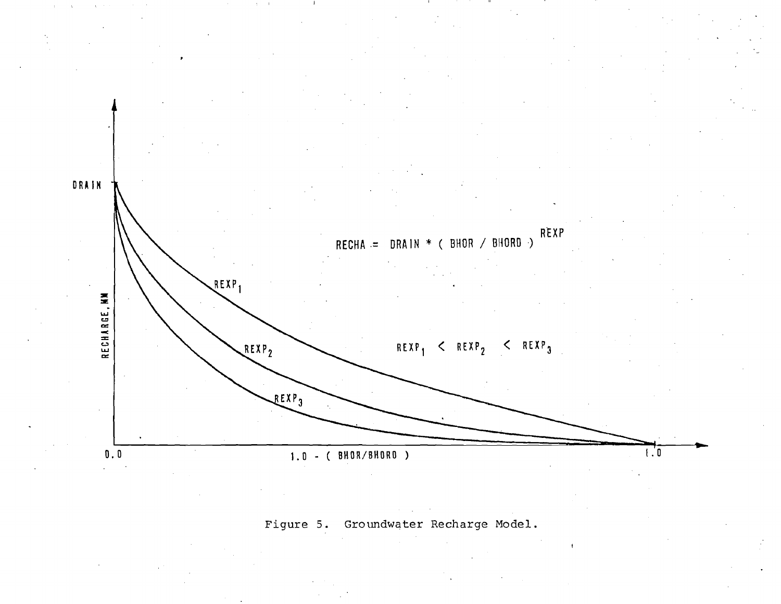

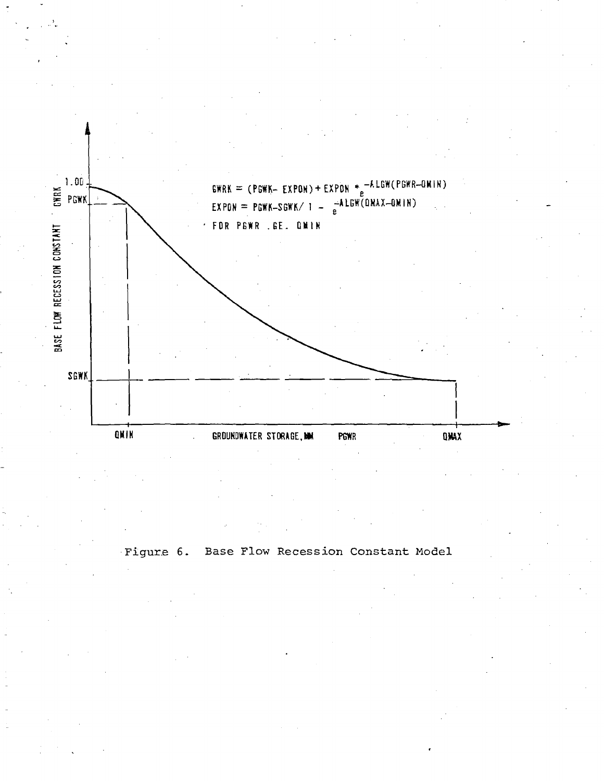

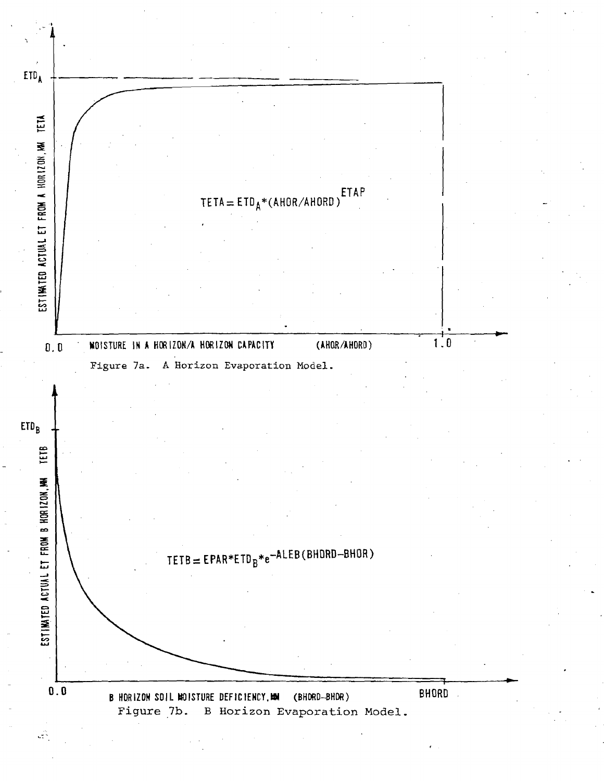

цŘ